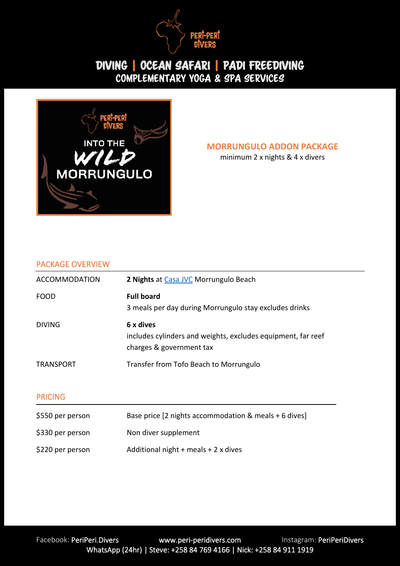



**MORRUNGULO ADDON PACKAGE**

minimum 2 x nights & 4 x divers

#### PACKAGE OVERVIEW

| <b>ACCOMMODATION</b> | 2 Nights at Casa JVC Morrungulo Beach                                                                 |
|----------------------|-------------------------------------------------------------------------------------------------------|
| <b>FOOD</b>          | <b>Full board</b><br>3 meals per day during Morrungulo stay excludes drinks                           |
| <b>DIVING</b>        | 6 x dives<br>includes cylinders and weights, excludes equipment, far reef<br>charges & government tax |
| <b>TRANSPORT</b>     | Transfer from Tofo Beach to Morrungulo                                                                |
| <b>PRICING</b>       |                                                                                                       |
| \$550 per person     | Base price [2 nights accommodation & meals + 6 dives]                                                 |
| \$330 per person     | Non diver supplement                                                                                  |
| \$220 per person     | Additional night $+$ meals $+$ 2 x dives                                                              |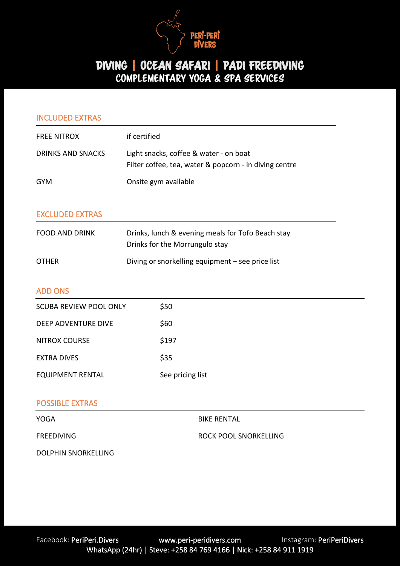

| <b>INCLUDED EXTRAS</b>        |                                                                                                  |
|-------------------------------|--------------------------------------------------------------------------------------------------|
| <b>FREE NITROX</b>            | if certified                                                                                     |
| <b>DRINKS AND SNACKS</b>      | Light snacks, coffee & water - on boat<br>Filter coffee, tea, water & popcorn - in diving centre |
| <b>GYM</b>                    | Onsite gym available                                                                             |
| <b>EXCLUDED EXTRAS</b>        |                                                                                                  |
| <b>FOOD AND DRINK</b>         | Drinks, lunch & evening meals for Tofo Beach stay<br>Drinks for the Morrungulo stay              |
| <b>OTHER</b>                  | Diving or snorkelling equipment - see price list                                                 |
| <b>ADD ONS</b>                |                                                                                                  |
| <b>SCUBA REVIEW POOL ONLY</b> | \$50                                                                                             |
| <b>DEEP ADVENTURE DIVE</b>    | \$60                                                                                             |
| <b>NITROX COURSE</b>          | \$197                                                                                            |
| <b>EXTRA DIVES</b>            | \$35                                                                                             |
| <b>EQUIPMENT RENTAL</b>       | See pricing list                                                                                 |
| <b>POSSIBLE EXTRAS</b>        |                                                                                                  |
| YOGA                          | <b>BIKE RENTAL</b>                                                                               |
| <b>FREEDIVING</b>             | <b>ROCK POOL SNORKELLING</b>                                                                     |
| <b>DOLPHIN SNORKELLING</b>    |                                                                                                  |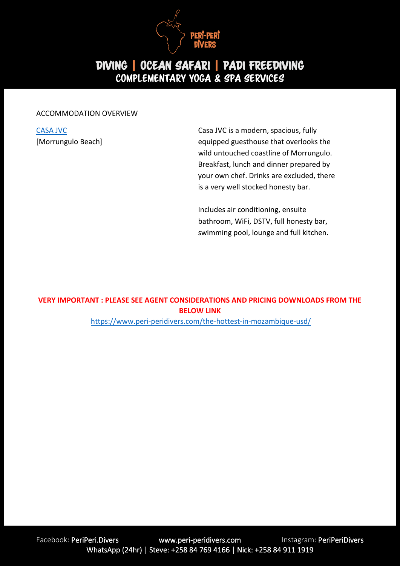

#### ACCOMMODATION OVERVIEW

[CASA JVC](http://www.casajvc.com/) [Morrungulo Beach] Casa JVC is a modern, spacious, fully equipped guesthouse that overlooks the wild untouched coastline of Morrungulo. Breakfast, lunch and dinner prepared by your own chef. Drinks are excluded, there is a very well stocked honesty bar.

Includes air conditioning, ensuite bathroom, WiFi, DSTV, full honesty bar, swimming pool, lounge and full kitchen.

#### **VERY IMPORTANT : PLEASE SEE AGENT CONSIDERATIONS AND PRICING DOWNLOADS FROM THE BELOW LINK**

<https://www.peri-peridivers.com/the-hottest-in-mozambique-usd/>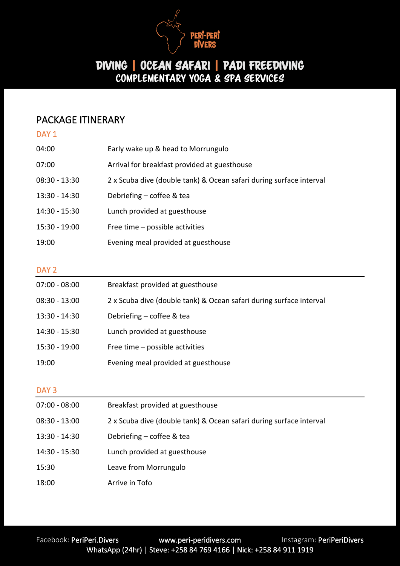

#### PACKAGE ITINERARY

| DAY <sub>1</sub> |                                                                     |
|------------------|---------------------------------------------------------------------|
| 04:00            | Early wake up & head to Morrungulo                                  |
| 07:00            | Arrival for breakfast provided at guesthouse                        |
| $08:30 - 13:30$  | 2 x Scuba dive (double tank) & Ocean safari during surface interval |
| 13:30 - 14:30    | Debriefing - coffee & tea                                           |
| 14:30 - 15:30    | Lunch provided at guesthouse                                        |
| 15:30 - 19:00    | Free time - possible activities                                     |
| 19:00            | Evening meal provided at guesthouse                                 |
|                  |                                                                     |
| DAY <sub>2</sub> |                                                                     |
| $07:00 - 08:00$  | Breakfast provided at guesthouse                                    |
| $08:30 - 13:00$  | 2 x Scuba dive (double tank) & Ocean safari during surface interval |
| 13:30 - 14:30    | Debriefing - coffee & tea                                           |
| 14:30 - 15:30    | Lunch provided at guesthouse                                        |
| 15:30 - 19:00    | Free time - possible activities                                     |
| 19:00            | Evening meal provided at guesthouse                                 |
|                  |                                                                     |
| DAY <sub>3</sub> |                                                                     |
| $07:00 - 08:00$  | Breakfast provided at guesthouse                                    |
| $08:30 - 13:00$  | 2 x Scuba dive (double tank) & Ocean safari during surface interval |
| 13:30 - 14:30    | Debriefing - coffee & tea                                           |
|                  |                                                                     |

- 14:30 15:30 Lunch provided at guesthouse
- 15:30 Leave from Morrungulo
- 18:00 Arrive in Tofo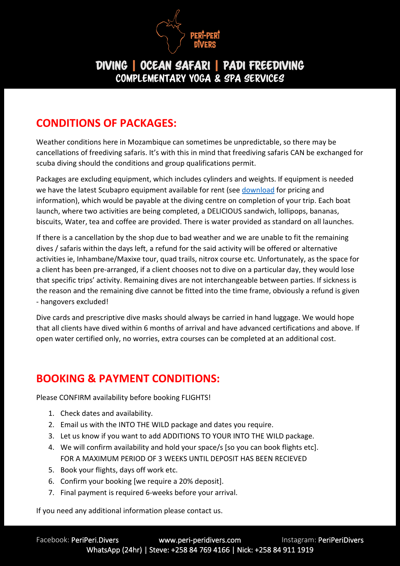

# **CONDITIONS OF PACKAGES:**

Weather conditions here in Mozambique can sometimes be unpredictable, so there may be cancellations of freediving safaris. It's with this in mind that freediving safaris CAN be exchanged for scuba diving should the conditions and group qualifications permit.

Packages are excluding equipment, which includes cylinders and weights. If equipment is needed we have the latest Scubapro equipment available for rent (see [download](https://www.peri-peridivers.com/wp-content/uploads/2020/01/Pricing-and-Payment-Methods-USD.pdf) for pricing and information), which would be payable at the diving centre on completion of your trip. Each boat launch, where two activities are being completed, a DELICIOUS sandwich, lollipops, bananas, biscuits, Water, tea and coffee are provided. There is water provided as standard on all launches.

If there is a cancellation by the shop due to bad weather and we are unable to fit the remaining dives / safaris within the days left, a refund for the said activity will be offered or alternative activities ie, Inhambane/Maxixe tour, quad trails, nitrox course etc. Unfortunately, as the space for a client has been pre-arranged, if a client chooses not to dive on a particular day, they would lose that specific trips' activity. Remaining dives are not interchangeable between parties. If sickness is the reason and the remaining dive cannot be fitted into the time frame, obviously a refund is given - hangovers excluded!

Dive cards and prescriptive dive masks should always be carried in hand luggage. We would hope that all clients have dived within 6 months of arrival and have advanced certifications and above. If open water certified only, no worries, extra courses can be completed at an additional cost.

## **BOOKING & PAYMENT CONDITIONS:**

Please CONFIRM availability before booking FLIGHTS!

- 1. Check dates and availability.
- 2. Email us with the INTO THE WILD package and dates you require.
- 3. Let us know if you want to add ADDITIONS TO YOUR INTO THE WILD package.
- 4. We will confirm availability and hold your space/s [so you can book flights etc]. FOR A MAXIMUM PERIOD OF 3 WEEKS UNTIL DEPOSIT HAS BEEN RECIEVED
- 5. Book your flights, days off work etc.
- 6. Confirm your booking [we require a 20% deposit].
- 7. Final payment is required 6-weeks before your arrival.

If you need any additional information please contact us.